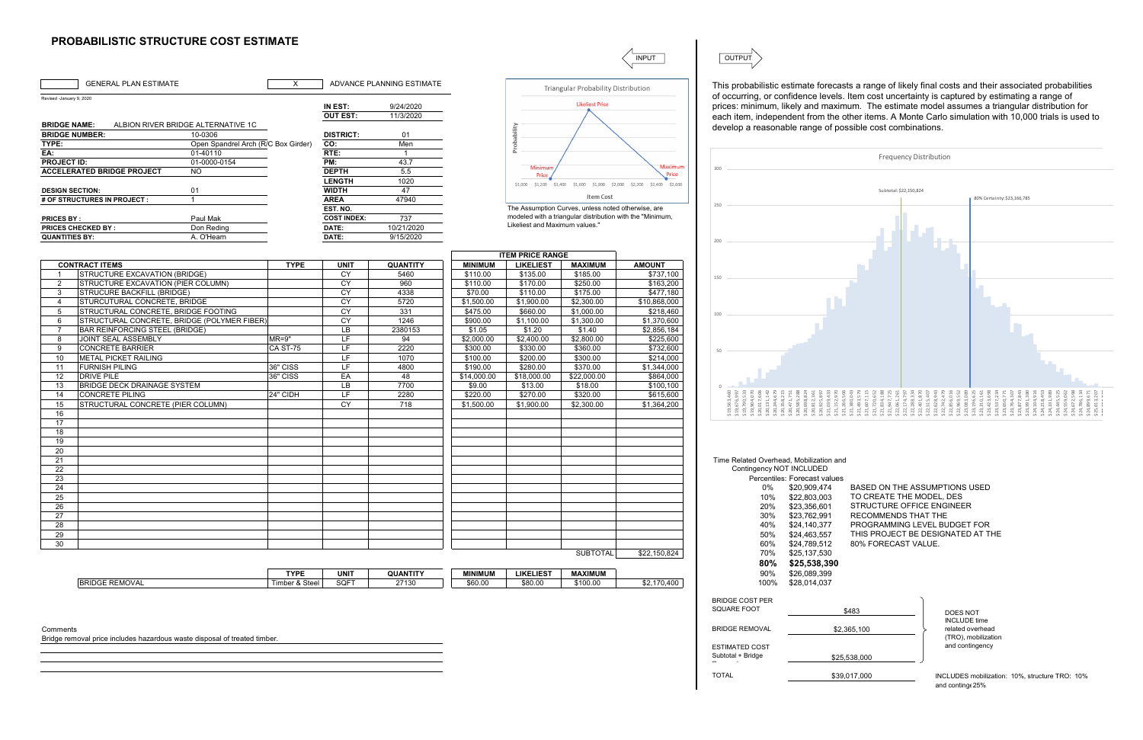## **PROBABILISTIC STRUCTURE COST ESTIMATE**

|                          | <b>GENERAL PLAN ESTIMATE</b>                                              | X               |                               | ADVANCE PLANNING ESTIMATE |                |                                | Triangular Probability Distribution                       |                                                                         | This probabilistic estimate forecas                                                                                                                                                                                                                       |                                          |
|--------------------------|---------------------------------------------------------------------------|-----------------|-------------------------------|---------------------------|----------------|--------------------------------|-----------------------------------------------------------|-------------------------------------------------------------------------|-----------------------------------------------------------------------------------------------------------------------------------------------------------------------------------------------------------------------------------------------------------|------------------------------------------|
| Revised -January 9, 2020 |                                                                           |                 |                               |                           |                |                                |                                                           |                                                                         | of occurring, or confidence levels                                                                                                                                                                                                                        |                                          |
|                          |                                                                           |                 | IN EST:                       | 9/24/2020                 |                |                                | <b>Likeliest Price</b>                                    |                                                                         | prices: minimum, likely and maxir                                                                                                                                                                                                                         |                                          |
|                          |                                                                           |                 | <b>OUT EST:</b>               | 11/3/2020                 |                |                                |                                                           |                                                                         | each item, independent from the                                                                                                                                                                                                                           |                                          |
| <b>BRIDGE NAME:</b>      | ALBION RIVER BRIDGE ALTERNATIVE 1C                                        |                 |                               |                           |                |                                |                                                           |                                                                         | develop a reasonable range of po                                                                                                                                                                                                                          |                                          |
| <b>BRIDGE NUMBER:</b>    | 10-0306                                                                   |                 | <b>DISTRICT:</b>              | 01                        |                | Probability                    |                                                           |                                                                         |                                                                                                                                                                                                                                                           |                                          |
| TYPE:                    | Open Spandrel Arch (R/C Box Girder)                                       |                 | CO:                           | Men                       |                |                                |                                                           |                                                                         |                                                                                                                                                                                                                                                           |                                          |
| EA:                      | 01-40110                                                                  |                 | RTE:                          | $\overline{1}$            |                |                                |                                                           |                                                                         |                                                                                                                                                                                                                                                           |                                          |
| <b>PROJECT ID:</b>       | 01-0000-0154                                                              |                 | PM:                           | 43.7                      |                | Minimun                        |                                                           | Maximum                                                                 | 300                                                                                                                                                                                                                                                       |                                          |
|                          | <b>ACCELERATED BRIDGE PROJECT</b><br>$\overline{3}$                       |                 | <b>DEPTH</b><br><b>LENGTH</b> | 5.5                       |                | Price                          |                                                           | Price                                                                   |                                                                                                                                                                                                                                                           |                                          |
|                          |                                                                           |                 | <b>WIDTH</b>                  | 1020<br>47                |                |                                |                                                           | \$1,000 \$1,200 \$1,400 \$1,600 \$1,800 \$2,000 \$2,200 \$2,400 \$2,600 |                                                                                                                                                                                                                                                           |                                          |
| <b>DESIGN SECTION:</b>   | 01<br># OF STRUCTURES IN PROJECT :<br>$\overline{\mathbf{1}}$             |                 | <b>AREA</b>                   | 47940                     |                |                                | <b>Item Cost</b>                                          |                                                                         |                                                                                                                                                                                                                                                           |                                          |
|                          |                                                                           |                 | EST. NO.                      |                           |                |                                | The Assumption Curves, unless noted otherwise, are        |                                                                         | 250                                                                                                                                                                                                                                                       |                                          |
| <b>PRICES BY:</b>        | Paul Mak                                                                  |                 | <b>COST INDEX:</b>            | 737                       |                |                                | modeled with a triangular distribution with the "Minimum, |                                                                         |                                                                                                                                                                                                                                                           |                                          |
|                          | <b>PRICES CHECKED BY:</b><br>Don Reding                                   |                 | DATE:                         | 10/21/2020                |                | Likeliest and Maximum values." |                                                           |                                                                         |                                                                                                                                                                                                                                                           |                                          |
| <b>QUANTITIES BY:</b>    | A. O'Hearn                                                                |                 | DATE:                         | 9/15/2020                 |                |                                |                                                           |                                                                         |                                                                                                                                                                                                                                                           |                                          |
|                          |                                                                           |                 |                               |                           |                |                                |                                                           |                                                                         | 200                                                                                                                                                                                                                                                       |                                          |
|                          |                                                                           |                 |                               |                           |                | <b>ITEM PRICE RANGE</b>        |                                                           |                                                                         |                                                                                                                                                                                                                                                           |                                          |
|                          | <b>CONTRACT ITEMS</b>                                                     | <b>TYPE</b>     | <b>UNIT</b>                   | <b>QUANTITY</b>           | <b>MINIMUM</b> | <b>LIKELIEST</b>               | <b>MAXIMUM</b>                                            | <b>AMOUNT</b>                                                           |                                                                                                                                                                                                                                                           |                                          |
|                          | <b>STRUCTURE EXCAVATION (BRIDGE)</b>                                      |                 | CY                            | 5460                      | \$110.00       | \$135.00                       | \$185.00                                                  | \$737,100                                                               |                                                                                                                                                                                                                                                           |                                          |
| $\overline{2}$           | STRUCTURE EXCAVATION (PIER COLUMN)                                        |                 | CY                            | 960                       | \$110.00       | \$170.00                       | \$250.00                                                  | \$163,200                                                               | 150                                                                                                                                                                                                                                                       |                                          |
| 3                        | STRUCURE BACKFILL (BRIDGE)                                                |                 | CY                            | 4338                      | \$70.00        | \$110.00                       | \$175.00                                                  | \$477,180                                                               |                                                                                                                                                                                                                                                           |                                          |
| $\overline{4}$           | STURCUTURAL CONCRETE, BRIDGE                                              |                 | CY                            | 5720                      | \$1,500.00     | \$1,900.00                     | \$2,300.00                                                | \$10,868,000                                                            |                                                                                                                                                                                                                                                           |                                          |
| 5                        | STRUCTURAL CONCRETE, BRIDGE FOOTING                                       |                 | CY                            | 331                       | \$475.00       | \$660.00                       | \$1,000.00                                                | \$218,460                                                               |                                                                                                                                                                                                                                                           |                                          |
| 6                        | STRUCTURAL CONCRETE, BRIDGE (POLYMER FIBER)                               |                 | CY                            | 1246                      | \$900.00       | \$1,100.00                     | \$1,300.00                                                | \$1,370,600                                                             | 100                                                                                                                                                                                                                                                       |                                          |
| $\overline{7}$           | <b>BAR REINFORCING STEEL (BRIDGE)</b>                                     |                 | LB                            | 2380153                   | \$1.05         | \$1.20                         | \$1.40                                                    | \$2,856,184                                                             |                                                                                                                                                                                                                                                           |                                          |
| 8                        | JOINT SEAL ASSEMBLY                                                       | $MR=9"$         | LF                            | 94                        | \$2,000.00     | \$2,400.00                     | \$2,800.00                                                | \$225,600                                                               |                                                                                                                                                                                                                                                           |                                          |
| 9                        | <b>CONCRETE BARRIER</b>                                                   | <b>CA ST-75</b> | LF                            | 2220                      | \$300.00       | \$330.00                       | \$360.00                                                  | \$732,600                                                               |                                                                                                                                                                                                                                                           |                                          |
| 10                       | <b>METAL PICKET RAILING</b>                                               |                 | LF                            | 1070                      | \$100.00       | \$200.00                       | \$300.00                                                  | \$214,000                                                               |                                                                                                                                                                                                                                                           |                                          |
| 11                       | <b>FURNISH PILING</b>                                                     | 36" CISS        | LF                            | 4800                      | \$190.00       | \$280.00                       | \$370.00                                                  | \$1,344,000                                                             |                                                                                                                                                                                                                                                           |                                          |
| 12                       | <b>DRIVE PILE</b>                                                         | 36" CISS        | EA                            | 48                        | \$14,000.00    | \$18,000.00                    | \$22,000.00                                               | \$864,000                                                               |                                                                                                                                                                                                                                                           |                                          |
| 13                       | <b>BRIDGE DECK DRAINAGE SYSTEM</b>                                        |                 | LB                            | 7700                      | \$9.00         | \$13.00                        | \$18.00                                                   | \$100,100                                                               |                                                                                                                                                                                                                                                           |                                          |
| 14                       | <b>CONCRETE PILING</b>                                                    | 24" CIDH        | LF                            | 2280                      | \$220.00       | \$270.00                       | \$320.00                                                  | \$615,600                                                               | $\begin{array}{l} 519,563,460\\ 519,676,997\\ 519,790,533\\ 519,790,533\\ 519,904,070\\ 519,904,070\\ 520,017,606\\ 520,0131,42\\ 520,344,679\\ 520,244,579\\ 520,583\\ 521,513\\ 520,471,751\\ 520,88\\ 522,88\\ 523,88\\ 524,717,51\\ 523,88\\ 524,717$ |                                          |
| 15                       | STRUCTURAL CONCRETE (PIER COLUMN)                                         |                 | CY                            | 718                       | \$1,500.00     | \$1,900.00                     | \$2,300.00                                                | \$1,364,200                                                             |                                                                                                                                                                                                                                                           | 812,361<br>925,897<br>039,433<br>152,970 |
| 16                       |                                                                           |                 |                               |                           |                |                                |                                                           |                                                                         |                                                                                                                                                                                                                                                           |                                          |
| 17                       |                                                                           |                 |                               |                           |                |                                |                                                           |                                                                         |                                                                                                                                                                                                                                                           |                                          |
| 18                       |                                                                           |                 |                               |                           |                |                                |                                                           |                                                                         |                                                                                                                                                                                                                                                           |                                          |
| 19                       |                                                                           |                 |                               |                           |                |                                |                                                           |                                                                         |                                                                                                                                                                                                                                                           |                                          |
| 20                       |                                                                           |                 |                               |                           |                |                                |                                                           |                                                                         |                                                                                                                                                                                                                                                           |                                          |
| 21                       |                                                                           |                 |                               |                           |                |                                |                                                           |                                                                         | Time Related Overhead, Mobilization an                                                                                                                                                                                                                    |                                          |
| 22                       |                                                                           |                 |                               |                           |                |                                |                                                           |                                                                         | Contingency NOT INCLUDED                                                                                                                                                                                                                                  |                                          |
| 23                       |                                                                           |                 |                               |                           |                |                                |                                                           |                                                                         |                                                                                                                                                                                                                                                           | Percentiles: Forecast values             |
| $\overline{24}$          |                                                                           |                 |                               |                           |                |                                |                                                           |                                                                         | $0\%$                                                                                                                                                                                                                                                     | \$20,909,474                             |
| 25                       |                                                                           |                 |                               |                           |                |                                |                                                           |                                                                         | 10%                                                                                                                                                                                                                                                       | \$22,803,003                             |
| 26                       |                                                                           |                 |                               |                           |                |                                |                                                           |                                                                         | 20%                                                                                                                                                                                                                                                       | \$23,356,601                             |
| 27                       |                                                                           |                 |                               |                           |                |                                |                                                           |                                                                         | 30%                                                                                                                                                                                                                                                       | \$23,762,991                             |
| 28                       |                                                                           |                 |                               |                           |                |                                |                                                           |                                                                         | 40%                                                                                                                                                                                                                                                       | \$24,140,377                             |
| 29                       |                                                                           |                 |                               |                           |                |                                |                                                           |                                                                         | 50%                                                                                                                                                                                                                                                       | \$24,463,557                             |
| 30                       |                                                                           |                 |                               |                           |                |                                |                                                           |                                                                         | 60%                                                                                                                                                                                                                                                       | \$24,789,512                             |
|                          |                                                                           |                 |                               |                           |                |                                | <b>SUBTOTAL</b>                                           | \$22,150,824                                                            | 70%                                                                                                                                                                                                                                                       | \$25,137,530                             |
|                          |                                                                           |                 |                               |                           |                |                                |                                                           |                                                                         | 80%                                                                                                                                                                                                                                                       | \$25,538,390                             |
|                          |                                                                           | <b>TYPE</b>     | <b>UNIT</b>                   | <b>QUANTITY</b>           | <b>MINIMUM</b> | <b>LIKELIEST</b>               | <b>MAXIMUM</b>                                            |                                                                         | 90%                                                                                                                                                                                                                                                       | \$26,089,399                             |
|                          | <b>BRIDGE REMOVAL</b>                                                     | Timber & Steel  | SQFT                          | 27130                     | \$60.00        | \$80.00                        | \$100.00                                                  | \$2,170,400                                                             | 100%                                                                                                                                                                                                                                                      | \$28,014,037                             |
|                          |                                                                           |                 |                               |                           |                |                                |                                                           |                                                                         | <b>BRIDGE COST PER</b>                                                                                                                                                                                                                                    |                                          |
|                          |                                                                           |                 |                               |                           |                |                                |                                                           |                                                                         | <b>SQUARE FOOT</b>                                                                                                                                                                                                                                        |                                          |
|                          |                                                                           |                 |                               |                           |                |                                |                                                           |                                                                         |                                                                                                                                                                                                                                                           |                                          |
|                          |                                                                           |                 |                               |                           |                |                                |                                                           |                                                                         | <b>BRIDGE REMOVAL</b>                                                                                                                                                                                                                                     |                                          |
| Comments                 | Bridge removal price includes hazardous waste disposal of treated timber. |                 |                               |                           |                |                                |                                                           |                                                                         |                                                                                                                                                                                                                                                           | \$2,                                     |
|                          |                                                                           |                 |                               |                           |                |                                |                                                           |                                                                         | <b>ESTIMATED COST</b>                                                                                                                                                                                                                                     |                                          |
|                          |                                                                           |                 |                               |                           |                |                                |                                                           |                                                                         | Subtotal + Bridge                                                                                                                                                                                                                                         | \$25                                     |
|                          |                                                                           |                 |                               |                           |                |                                |                                                           |                                                                         |                                                                                                                                                                                                                                                           |                                          |
|                          |                                                                           |                 |                               |                           |                |                                |                                                           |                                                                         | <b>TOTAL</b>                                                                                                                                                                                                                                              | \$39                                     |
|                          |                                                                           |                 |                               |                           |                |                                |                                                           |                                                                         |                                                                                                                                                                                                                                                           |                                          |

INPUT **OUTPUT** 

babilistic estimate forecasts a range of likely final costs and their associated probabilities ring, or confidence levels. Item cost uncertainty is captured by estimating a range of  $n$ inimum, likely and maximum. The estimate model assumes a triangular distribution for m, independent from the other items. A Monte Carlo simulation with 10,000 trials is used to a reasonable range of possible cost combinations.

> INCLUDES mobilization: 10%, structure TRO: 10% and continge 25%

|                                       | Contingency NOT INCLUDED     |                  |
|---------------------------------------|------------------------------|------------------|
|                                       | Percentiles: Forecast values |                  |
| 0%                                    | \$20,909,474                 | BASE             |
| 10%                                   | \$22,803,003                 | TO C             |
| 20%                                   | \$23.356.601                 | STRL             |
| 30%                                   | \$23.762.991                 | <b>RECO</b>      |
| 40%                                   | \$24.140.377                 | PRO <sub>0</sub> |
| 50%                                   | \$24,463,557                 | <b>THIS</b>      |
| 60%                                   | \$24.789.512                 | 80% l            |
| 70%                                   | \$25,137,530                 |                  |
| $80\%$                                | \$25,538,390                 |                  |
| 90%                                   | \$26.089.399                 |                  |
| 100%                                  | \$28,014,037                 |                  |
| <b>BRIDGE COST PER</b><br>SQUARE FOOT |                              | \$483            |
|                                       |                              |                  |
| <b>BRIDGE REMOVAL</b>                 |                              | \$2,365,100      |
| ESTIMATED COST                        |                              |                  |
|                                       |                              |                  |

## ated Overhead, Mobilization and

- 
- BASED ON THE ASSUMPTIONS USED TO CREATE THE MODEL, DES STRUCTURE OFFICE ENGINEER RECOMMENDS THAT THE PROGRAMMING LEVEL BUDGET FOR THIS PROJECT BE DESIGNATED AT THE 80% FORECAST VALUE.

| \$483        |
|--------------|
|              |
| \$2,365,100  |
|              |
|              |
| \$25,538,000 |
|              |
| \$39,017,000 |

DOES NOT INCLUDE time related overhead (TRO), mobilization and contingency

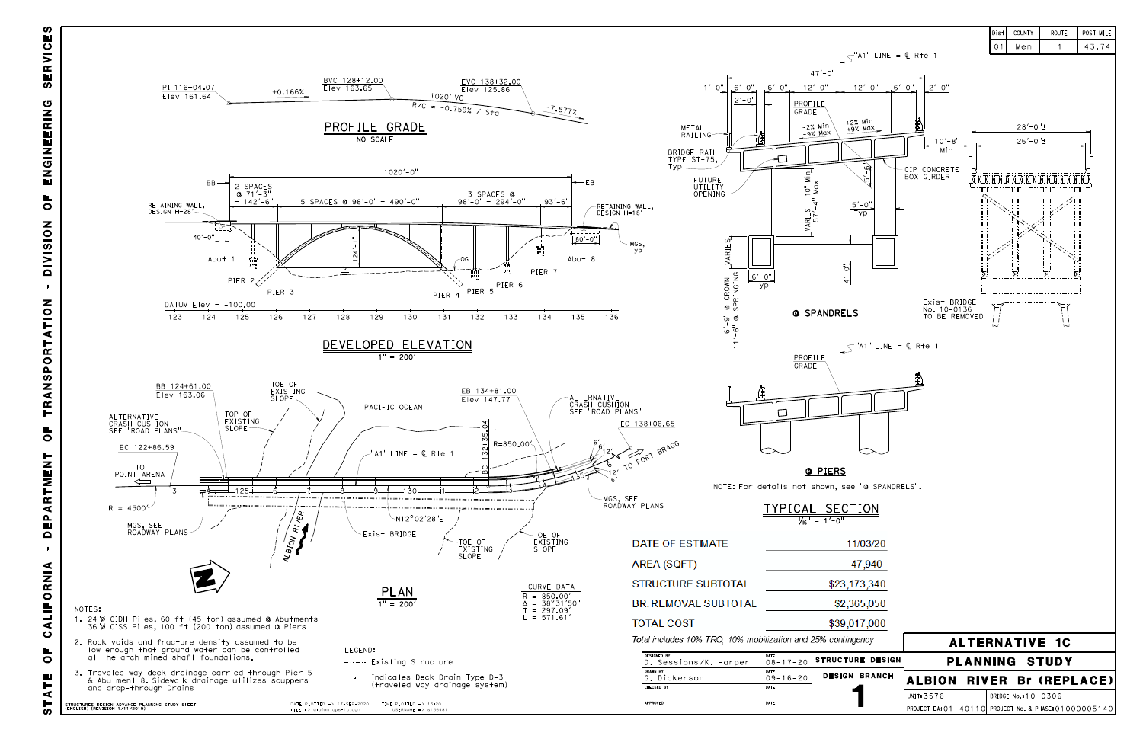